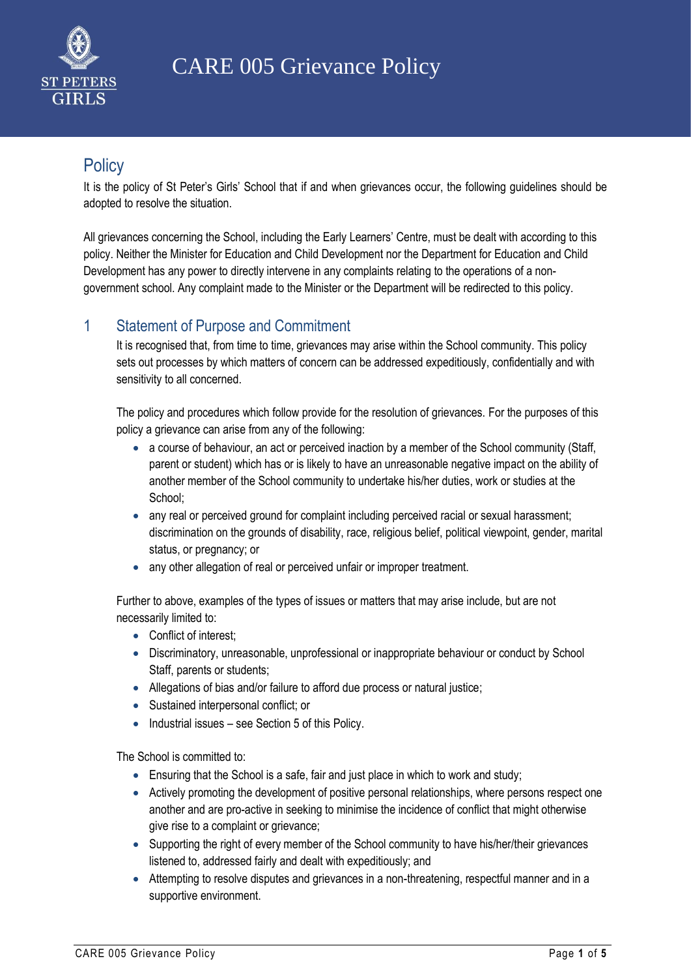

# **Policy**

It is the policy of St Peter's Girls' School that if and when grievances occur, the following guidelines should be adopted to resolve the situation.

All grievances concerning the School, including the Early Learners' Centre, must be dealt with according to this policy. Neither the Minister for Education and Child Development nor the Department for Education and Child Development has any power to directly intervene in any complaints relating to the operations of a nongovernment school. Any complaint made to the Minister or the Department will be redirected to this policy.

### 1 Statement of Purpose and Commitment

It is recognised that, from time to time, grievances may arise within the School community. This policy sets out processes by which matters of concern can be addressed expeditiously, confidentially and with sensitivity to all concerned.

The policy and procedures which follow provide for the resolution of grievances. For the purposes of this policy a grievance can arise from any of the following:

- a course of behaviour, an act or perceived inaction by a member of the School community (Staff, parent or student) which has or is likely to have an unreasonable negative impact on the ability of another member of the School community to undertake his/her duties, work or studies at the School;
- any real or perceived ground for complaint including perceived racial or sexual harassment; discrimination on the grounds of disability, race, religious belief, political viewpoint, gender, marital status, or pregnancy; or
- any other allegation of real or perceived unfair or improper treatment.

Further to above, examples of the types of issues or matters that may arise include, but are not necessarily limited to:

- Conflict of interest:
- Discriminatory, unreasonable, unprofessional or inappropriate behaviour or conduct by School Staff, parents or students;
- Allegations of bias and/or failure to afford due process or natural justice;
- Sustained interpersonal conflict; or
- Industrial issues see Section 5 of this Policy.

The School is committed to:

- Ensuring that the School is a safe, fair and just place in which to work and study;
- Actively promoting the development of positive personal relationships, where persons respect one another and are pro-active in seeking to minimise the incidence of conflict that might otherwise give rise to a complaint or grievance;
- Supporting the right of every member of the School community to have his/her/their grievances listened to, addressed fairly and dealt with expeditiously; and
- Attempting to resolve disputes and grievances in a non-threatening, respectful manner and in a supportive environment.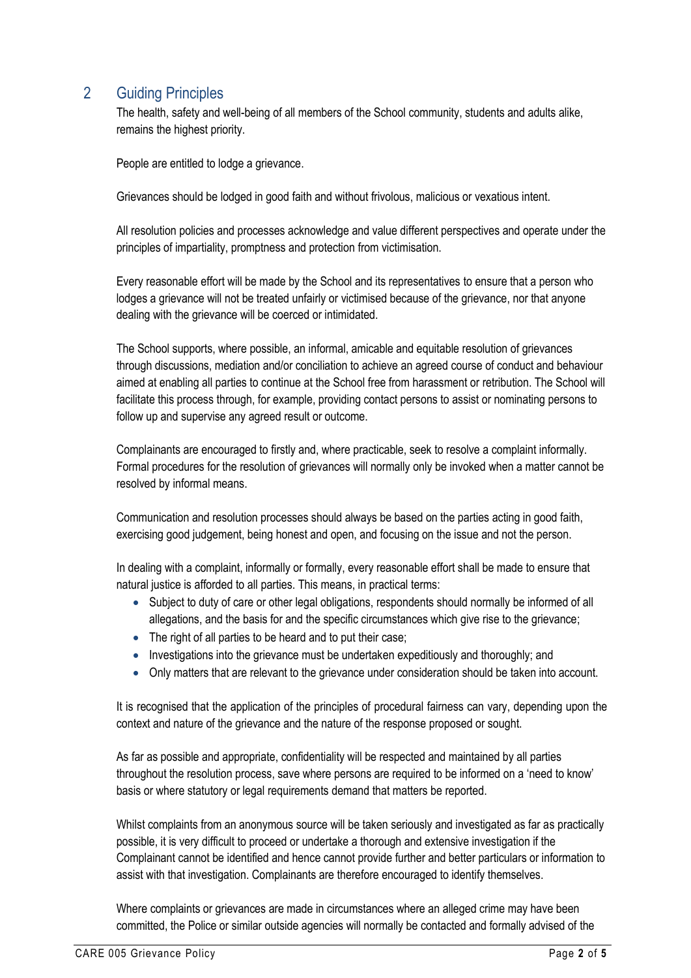### 2 Guiding Principles

The health, safety and well-being of all members of the School community, students and adults alike, remains the highest priority.

People are entitled to lodge a grievance.

Grievances should be lodged in good faith and without frivolous, malicious or vexatious intent.

All resolution policies and processes acknowledge and value different perspectives and operate under the principles of impartiality, promptness and protection from victimisation.

Every reasonable effort will be made by the School and its representatives to ensure that a person who lodges a grievance will not be treated unfairly or victimised because of the grievance, nor that anyone dealing with the grievance will be coerced or intimidated.

The School supports, where possible, an informal, amicable and equitable resolution of grievances through discussions, mediation and/or conciliation to achieve an agreed course of conduct and behaviour aimed at enabling all parties to continue at the School free from harassment or retribution. The School will facilitate this process through, for example, providing contact persons to assist or nominating persons to follow up and supervise any agreed result or outcome.

Complainants are encouraged to firstly and, where practicable, seek to resolve a complaint informally. Formal procedures for the resolution of grievances will normally only be invoked when a matter cannot be resolved by informal means.

Communication and resolution processes should always be based on the parties acting in good faith, exercising good judgement, being honest and open, and focusing on the issue and not the person.

In dealing with a complaint, informally or formally, every reasonable effort shall be made to ensure that natural justice is afforded to all parties. This means, in practical terms:

- Subject to duty of care or other legal obligations, respondents should normally be informed of all allegations, and the basis for and the specific circumstances which give rise to the grievance;
- The right of all parties to be heard and to put their case;
- Investigations into the grievance must be undertaken expeditiously and thoroughly; and
- Only matters that are relevant to the grievance under consideration should be taken into account.

It is recognised that the application of the principles of procedural fairness can vary, depending upon the context and nature of the grievance and the nature of the response proposed or sought.

As far as possible and appropriate, confidentiality will be respected and maintained by all parties throughout the resolution process, save where persons are required to be informed on a 'need to know' basis or where statutory or legal requirements demand that matters be reported.

Whilst complaints from an anonymous source will be taken seriously and investigated as far as practically possible, it is very difficult to proceed or undertake a thorough and extensive investigation if the Complainant cannot be identified and hence cannot provide further and better particulars or information to assist with that investigation. Complainants are therefore encouraged to identify themselves.

Where complaints or grievances are made in circumstances where an alleged crime may have been committed, the Police or similar outside agencies will normally be contacted and formally advised of the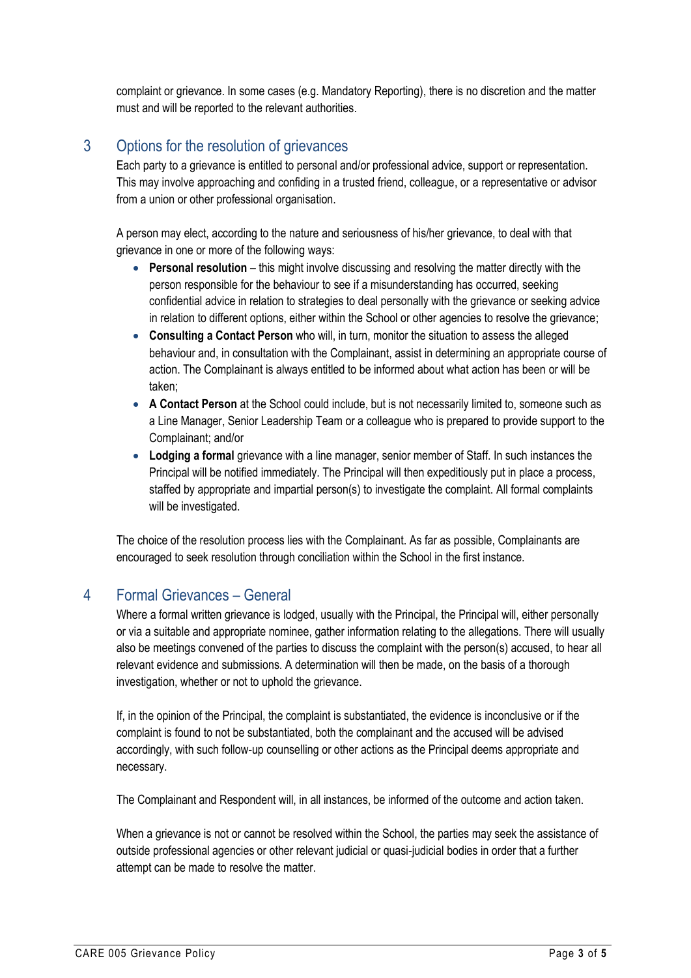complaint or grievance. In some cases (e.g. Mandatory Reporting), there is no discretion and the matter must and will be reported to the relevant authorities.

## 3 Options for the resolution of grievances

Each party to a grievance is entitled to personal and/or professional advice, support or representation. This may involve approaching and confiding in a trusted friend, colleague, or a representative or advisor from a union or other professional organisation.

A person may elect, according to the nature and seriousness of his/her grievance, to deal with that grievance in one or more of the following ways:

- **Personal resolution** this might involve discussing and resolving the matter directly with the person responsible for the behaviour to see if a misunderstanding has occurred, seeking confidential advice in relation to strategies to deal personally with the grievance or seeking advice in relation to different options, either within the School or other agencies to resolve the grievance;
- **Consulting a Contact Person** who will, in turn, monitor the situation to assess the alleged behaviour and, in consultation with the Complainant, assist in determining an appropriate course of action. The Complainant is always entitled to be informed about what action has been or will be taken;
- **A Contact Person** at the School could include, but is not necessarily limited to, someone such as a Line Manager, Senior Leadership Team or a colleague who is prepared to provide support to the Complainant; and/or
- **Lodging a formal** grievance with a line manager, senior member of Staff. In such instances the Principal will be notified immediately. The Principal will then expeditiously put in place a process, staffed by appropriate and impartial person(s) to investigate the complaint. All formal complaints will be investigated.

The choice of the resolution process lies with the Complainant. As far as possible, Complainants are encouraged to seek resolution through conciliation within the School in the first instance.

#### 4 Formal Grievances – General

Where a formal written grievance is lodged, usually with the Principal, the Principal will, either personally or via a suitable and appropriate nominee, gather information relating to the allegations. There will usually also be meetings convened of the parties to discuss the complaint with the person(s) accused, to hear all relevant evidence and submissions. A determination will then be made, on the basis of a thorough investigation, whether or not to uphold the grievance.

If, in the opinion of the Principal, the complaint is substantiated, the evidence is inconclusive or if the complaint is found to not be substantiated, both the complainant and the accused will be advised accordingly, with such follow-up counselling or other actions as the Principal deems appropriate and necessary.

The Complainant and Respondent will, in all instances, be informed of the outcome and action taken.

When a grievance is not or cannot be resolved within the School, the parties may seek the assistance of outside professional agencies or other relevant judicial or quasi-judicial bodies in order that a further attempt can be made to resolve the matter.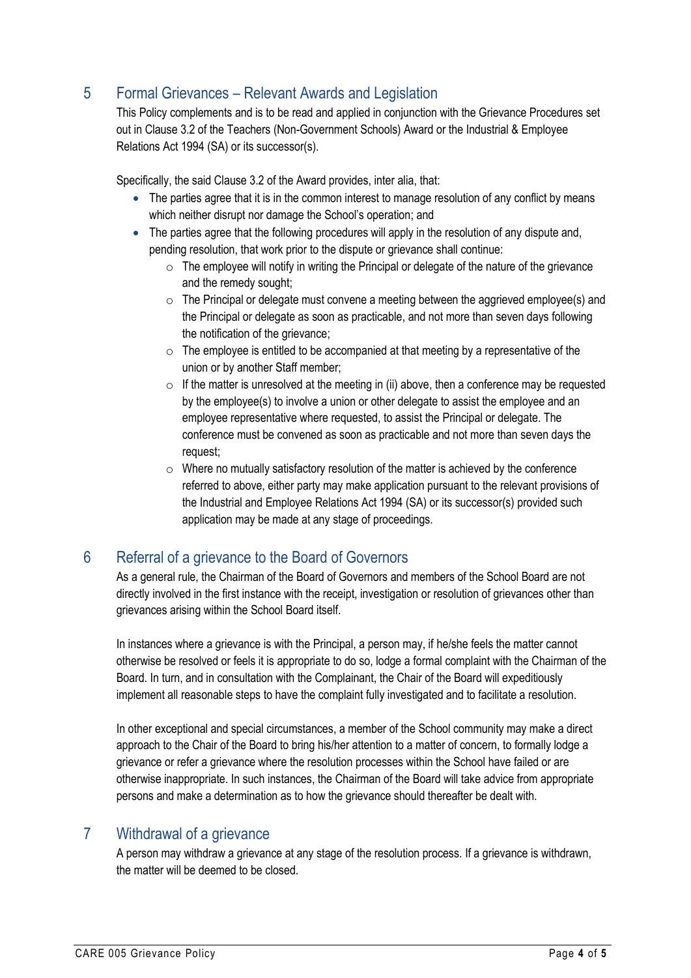## 5 Formal Grievances – Relevant Awards and Legislation

This Policy complements and is to be read and applied in conjunction with the Grievance Procedures set out in Clause 3.2 of the Teachers (Non-Government Schools) Award or the Industrial & Employee Relations Act 1994 (SA) or its successor(s).

Specifically, the said Clause 3.2 of the Award provides, inter alia, that:

- The parties agree that it is in the common interest to manage resolution of any conflict by means which neither disrupt nor damage the School's operation; and
- The parties agree that the following procedures will apply in the resolution of any dispute and, pending resolution, that work prior to the dispute or grievance shall continue:
	- $\circ$  The employee will notify in writing the Principal or delegate of the nature of the grievance and the remedy sought;
	- $\circ$  The Principal or delegate must convene a meeting between the aggrieved employee(s) and the Principal or delegate as soon as practicable, and not more than seven days following the notification of the grievance;
	- $\circ$  The employee is entitled to be accompanied at that meeting by a representative of the union or by another Staff member;
	- $\circ$  If the matter is unresolved at the meeting in (ii) above, then a conference may be requested by the employee(s) to involve a union or other delegate to assist the employee and an employee representative where requested, to assist the Principal or delegate. The conference must be convened as soon as practicable and not more than seven days the request;
	- $\circ$  Where no mutually satisfactory resolution of the matter is achieved by the conference referred to above, either party may make application pursuant to the relevant provisions of the Industrial and Employee Relations Act 1994 (SA) or its successor(s) provided such application may be made at any stage of proceedings.

## 6 Referral of a grievance to the Board of Governors

As a general rule, the Chairman of the Board of Governors and members of the School Board are not directly involved in the first instance with the receipt, investigation or resolution of grievances other than grievances arising within the School Board itself.

In instances where a grievance is with the Principal, a person may, if he/she feels the matter cannot otherwise be resolved or feels it is appropriate to do so, lodge a formal complaint with the Chairman of the Board. In turn, and in consultation with the Complainant, the Chair of the Board will expeditiously implement all reasonable steps to have the complaint fully investigated and to facilitate a resolution.

In other exceptional and special circumstances, a member of the School community may make a direct approach to the Chair of the Board to bring his/her attention to a matter of concern, to formally lodge a grievance or refer a grievance where the resolution processes within the School have failed or are otherwise inappropriate. In such instances, the Chairman of the Board will take advice from appropriate persons and make a determination as to how the grievance should thereafter be dealt with.

#### 7 Withdrawal of a grievance

A person may withdraw a grievance at any stage of the resolution process. If a grievance is withdrawn, the matter will be deemed to be closed.